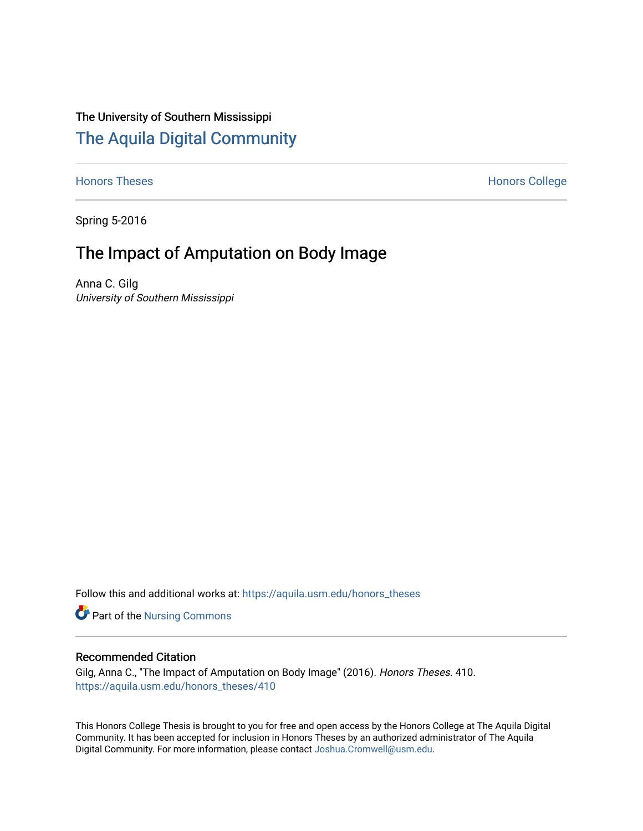# The University of Southern Mississippi [The Aquila Digital Community](https://aquila.usm.edu/)

[Honors Theses](https://aquila.usm.edu/honors_theses) **Honors** College Honors College

Spring 5-2016

# The Impact of Amputation on Body Image

Anna C. Gilg University of Southern Mississippi

Follow this and additional works at: [https://aquila.usm.edu/honors\\_theses](https://aquila.usm.edu/honors_theses?utm_source=aquila.usm.edu%2Fhonors_theses%2F410&utm_medium=PDF&utm_campaign=PDFCoverPages) 

Part of the [Nursing Commons](http://network.bepress.com/hgg/discipline/718?utm_source=aquila.usm.edu%2Fhonors_theses%2F410&utm_medium=PDF&utm_campaign=PDFCoverPages) 

### Recommended Citation

Gilg, Anna C., "The Impact of Amputation on Body Image" (2016). Honors Theses. 410. [https://aquila.usm.edu/honors\\_theses/410](https://aquila.usm.edu/honors_theses/410?utm_source=aquila.usm.edu%2Fhonors_theses%2F410&utm_medium=PDF&utm_campaign=PDFCoverPages) 

This Honors College Thesis is brought to you for free and open access by the Honors College at The Aquila Digital Community. It has been accepted for inclusion in Honors Theses by an authorized administrator of The Aquila Digital Community. For more information, please contact [Joshua.Cromwell@usm.edu.](mailto:Joshua.Cromwell@usm.edu)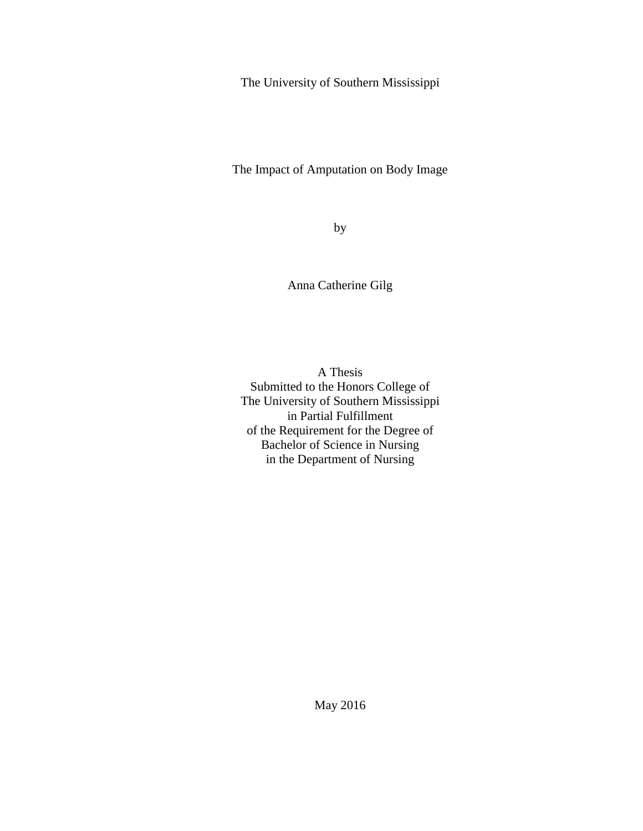The University of Southern Mississippi

The Impact of Amputation on Body Image

by

Anna Catherine Gilg

A Thesis Submitted to the Honors College of The University of Southern Mississippi in Partial Fulfillment of the Requirement for the Degree of Bachelor of Science in Nursing in the Department of Nursing

May 2016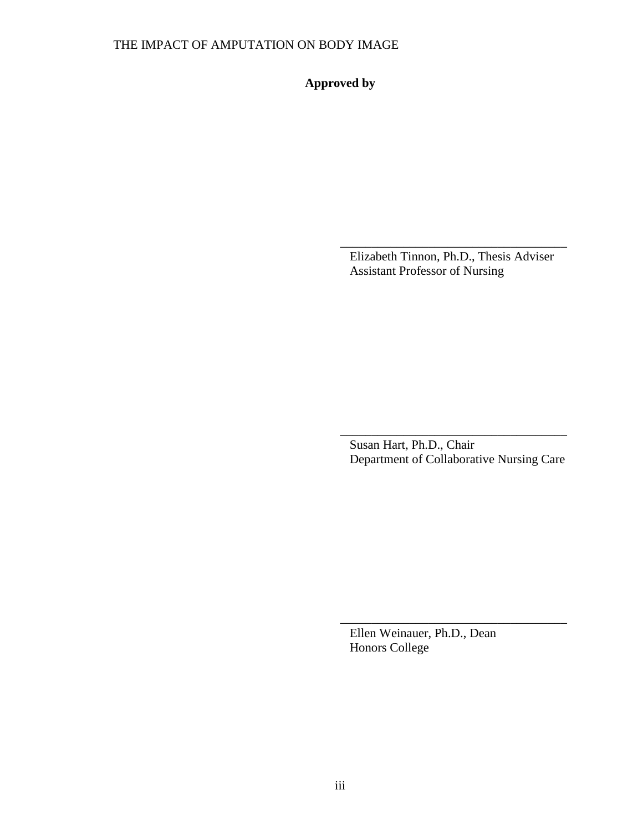**Approved by**

Elizabeth Tinnon, Ph.D., Thesis Adviser Assistant Professor of Nursing

\_\_\_\_\_\_\_\_\_\_\_\_\_\_\_\_\_\_\_\_\_\_\_\_\_\_\_\_\_\_\_\_\_\_\_\_

Susan Hart, Ph.D., Chair Department of Collaborative Nursing Care

\_\_\_\_\_\_\_\_\_\_\_\_\_\_\_\_\_\_\_\_\_\_\_\_\_\_\_\_\_\_\_\_\_\_\_\_

Ellen Weinauer, Ph.D., Dean Honors College

\_\_\_\_\_\_\_\_\_\_\_\_\_\_\_\_\_\_\_\_\_\_\_\_\_\_\_\_\_\_\_\_\_\_\_\_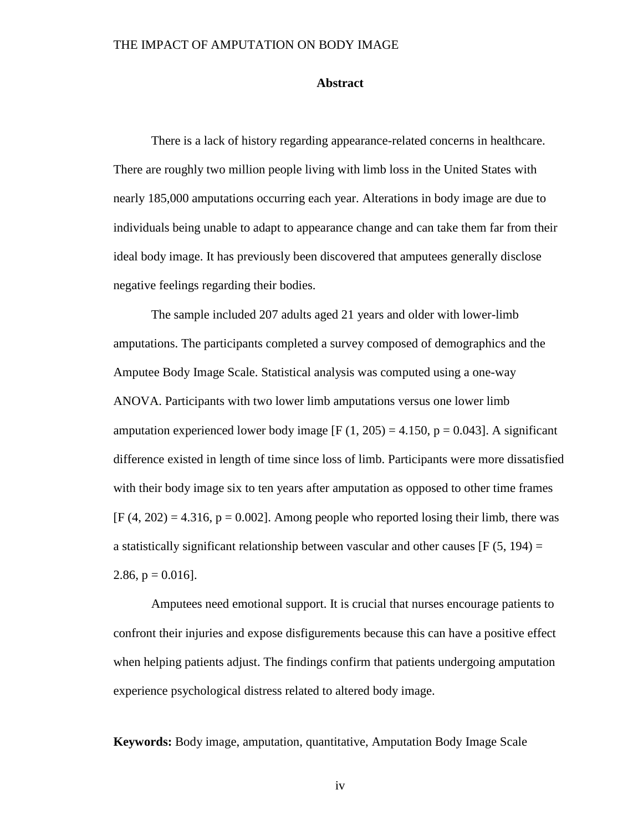#### **Abstract**

There is a lack of history regarding appearance-related concerns in healthcare. There are roughly two million people living with limb loss in the United States with nearly 185,000 amputations occurring each year. Alterations in body image are due to individuals being unable to adapt to appearance change and can take them far from their ideal body image. It has previously been discovered that amputees generally disclose negative feelings regarding their bodies.

The sample included 207 adults aged 21 years and older with lower-limb amputations. The participants completed a survey composed of demographics and the Amputee Body Image Scale. Statistical analysis was computed using a one-way ANOVA. Participants with two lower limb amputations versus one lower limb amputation experienced lower body image  $[F (1, 205) = 4.150, p = 0.043]$ . A significant difference existed in length of time since loss of limb. Participants were more dissatisfied with their body image six to ten years after amputation as opposed to other time frames  $[F (4, 202) = 4.316, p = 0.002]$ . Among people who reported losing their limb, there was a statistically significant relationship between vascular and other causes  $[F(5, 194) =$ 2.86,  $p = 0.016$ .

Amputees need emotional support. It is crucial that nurses encourage patients to confront their injuries and expose disfigurements because this can have a positive effect when helping patients adjust. The findings confirm that patients undergoing amputation experience psychological distress related to altered body image.

**Keywords:** Body image, amputation, quantitative, Amputation Body Image Scale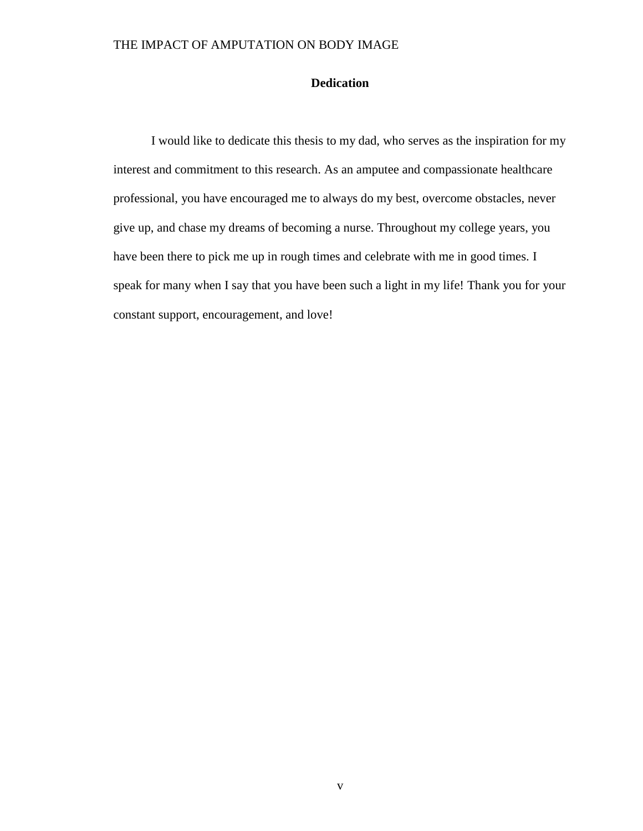## **Dedication**

I would like to dedicate this thesis to my dad, who serves as the inspiration for my interest and commitment to this research. As an amputee and compassionate healthcare professional, you have encouraged me to always do my best, overcome obstacles, never give up, and chase my dreams of becoming a nurse. Throughout my college years, you have been there to pick me up in rough times and celebrate with me in good times. I speak for many when I say that you have been such a light in my life! Thank you for your constant support, encouragement, and love!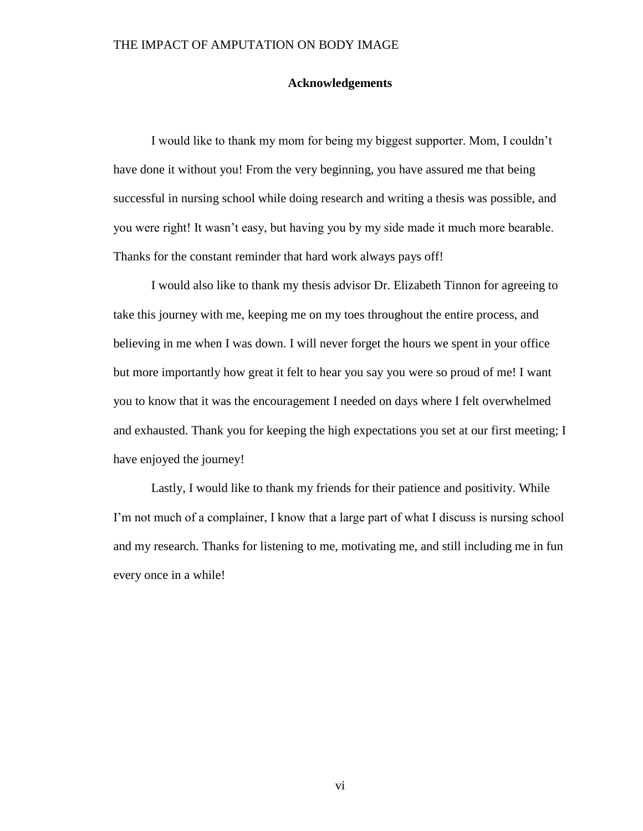#### **Acknowledgements**

I would like to thank my mom for being my biggest supporter. Mom, I couldn't have done it without you! From the very beginning, you have assured me that being successful in nursing school while doing research and writing a thesis was possible, and you were right! It wasn't easy, but having you by my side made it much more bearable. Thanks for the constant reminder that hard work always pays off!

I would also like to thank my thesis advisor Dr. Elizabeth Tinnon for agreeing to take this journey with me, keeping me on my toes throughout the entire process, and believing in me when I was down. I will never forget the hours we spent in your office but more importantly how great it felt to hear you say you were so proud of me! I want you to know that it was the encouragement I needed on days where I felt overwhelmed and exhausted. Thank you for keeping the high expectations you set at our first meeting; I have enjoyed the journey!

Lastly, I would like to thank my friends for their patience and positivity. While I'm not much of a complainer, I know that a large part of what I discuss is nursing school and my research. Thanks for listening to me, motivating me, and still including me in fun every once in a while!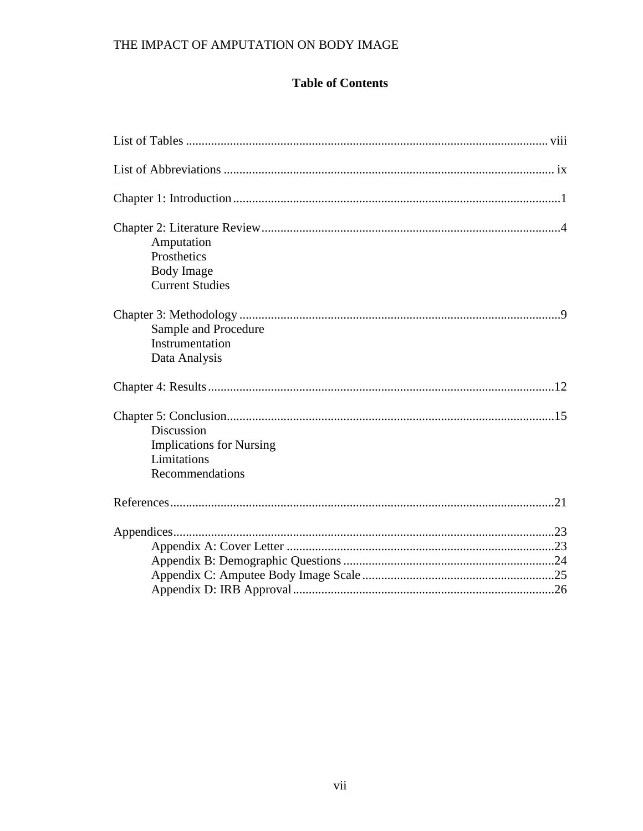## **Table of Contents**

| Amputation                      |  |
|---------------------------------|--|
| Prosthetics                     |  |
| <b>Body Image</b>               |  |
| <b>Current Studies</b>          |  |
|                                 |  |
| Sample and Procedure            |  |
| Instrumentation                 |  |
| Data Analysis                   |  |
|                                 |  |
|                                 |  |
| Discussion                      |  |
| <b>Implications for Nursing</b> |  |
| Limitations                     |  |
| Recommendations                 |  |
|                                 |  |
|                                 |  |
|                                 |  |
|                                 |  |
|                                 |  |
|                                 |  |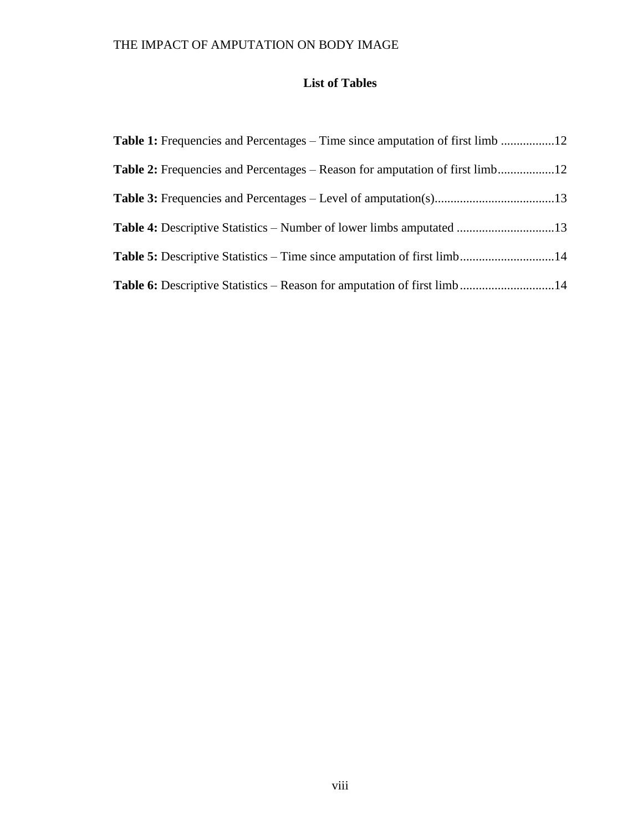## **List of Tables**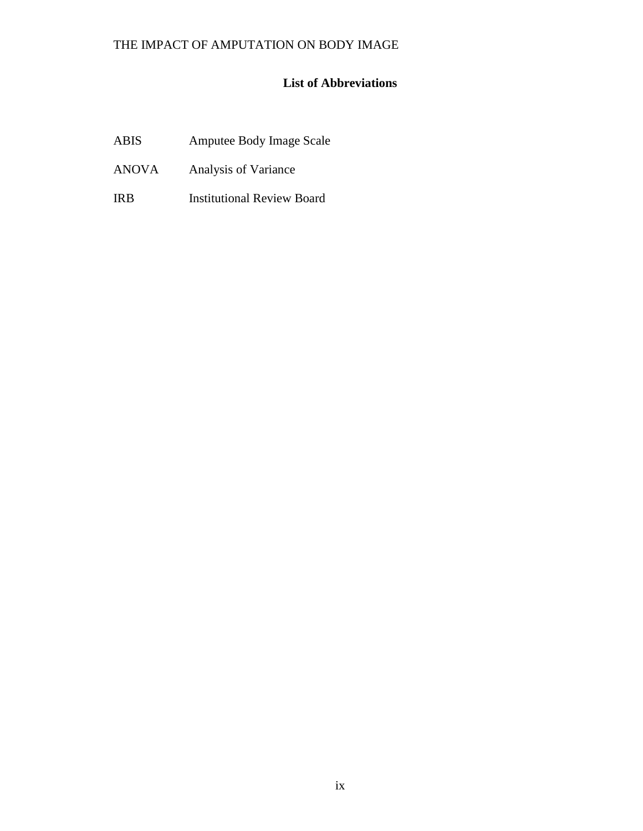## **List of Abbreviations**

| <b>ABIS</b> | <b>Amputee Body Image Scale</b> |
|-------------|---------------------------------|
|-------------|---------------------------------|

- ANOVA Analysis of Variance
- IRB Institutional Review Board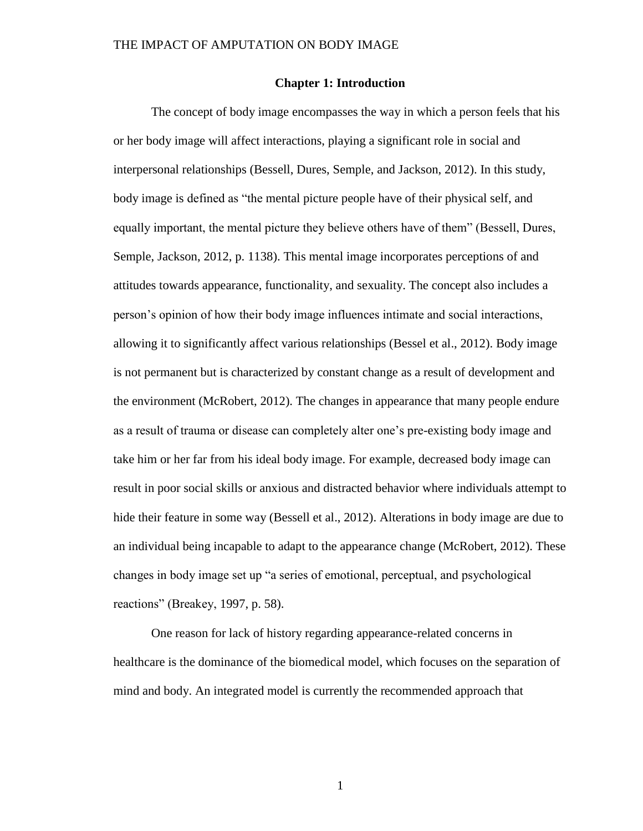#### **Chapter 1: Introduction**

The concept of body image encompasses the way in which a person feels that his or her body image will affect interactions, playing a significant role in social and interpersonal relationships (Bessell, Dures, Semple, and Jackson, 2012). In this study, body image is defined as "the mental picture people have of their physical self, and equally important, the mental picture they believe others have of them" (Bessell, Dures, Semple, Jackson, 2012, p. 1138). This mental image incorporates perceptions of and attitudes towards appearance, functionality, and sexuality. The concept also includes a person's opinion of how their body image influences intimate and social interactions, allowing it to significantly affect various relationships (Bessel et al., 2012). Body image is not permanent but is characterized by constant change as a result of development and the environment (McRobert, 2012). The changes in appearance that many people endure as a result of trauma or disease can completely alter one's pre-existing body image and take him or her far from his ideal body image. For example, decreased body image can result in poor social skills or anxious and distracted behavior where individuals attempt to hide their feature in some way (Bessell et al., 2012). Alterations in body image are due to an individual being incapable to adapt to the appearance change (McRobert, 2012). These changes in body image set up "a series of emotional, perceptual, and psychological reactions" (Breakey, 1997, p. 58).

One reason for lack of history regarding appearance-related concerns in healthcare is the dominance of the biomedical model, which focuses on the separation of mind and body. An integrated model is currently the recommended approach that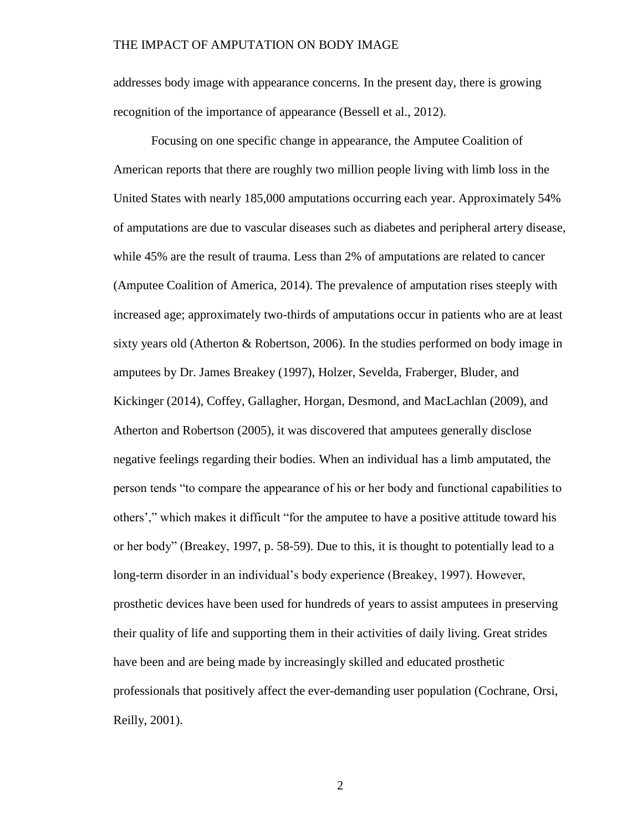addresses body image with appearance concerns. In the present day, there is growing recognition of the importance of appearance (Bessell et al., 2012).

Focusing on one specific change in appearance, the Amputee Coalition of American reports that there are roughly two million people living with limb loss in the United States with nearly 185,000 amputations occurring each year. Approximately 54% of amputations are due to vascular diseases such as diabetes and peripheral artery disease, while 45% are the result of trauma. Less than 2% of amputations are related to cancer (Amputee Coalition of America, 2014). The prevalence of amputation rises steeply with increased age; approximately two-thirds of amputations occur in patients who are at least sixty years old (Atherton & Robertson, 2006). In the studies performed on body image in amputees by Dr. James Breakey (1997), Holzer, Sevelda, Fraberger, Bluder, and Kickinger (2014), Coffey, Gallagher, Horgan, Desmond, and MacLachlan (2009), and Atherton and Robertson (2005), it was discovered that amputees generally disclose negative feelings regarding their bodies. When an individual has a limb amputated, the person tends "to compare the appearance of his or her body and functional capabilities to others'," which makes it difficult "for the amputee to have a positive attitude toward his or her body" (Breakey, 1997, p. 58-59). Due to this, it is thought to potentially lead to a long-term disorder in an individual's body experience (Breakey, 1997). However, prosthetic devices have been used for hundreds of years to assist amputees in preserving their quality of life and supporting them in their activities of daily living. Great strides have been and are being made by increasingly skilled and educated prosthetic professionals that positively affect the ever-demanding user population (Cochrane, Orsi, Reilly, 2001).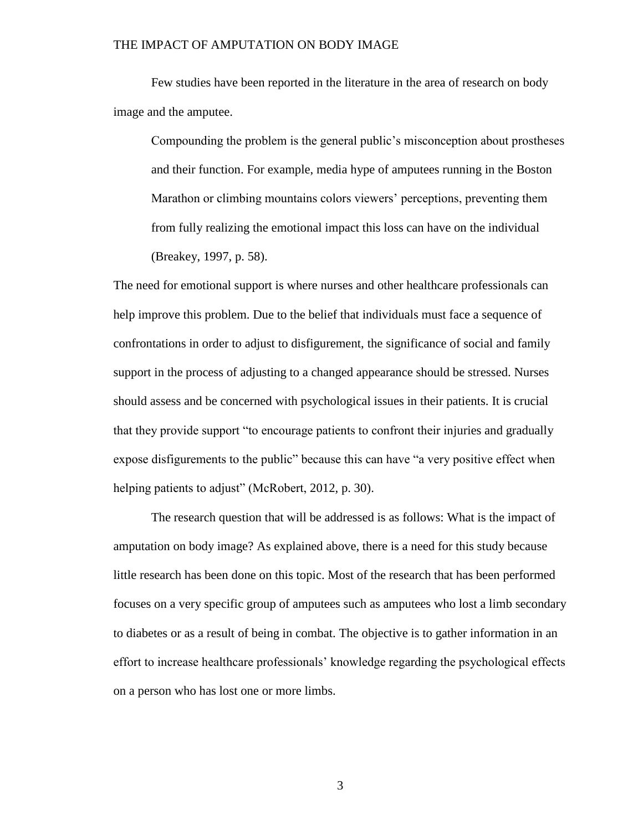Few studies have been reported in the literature in the area of research on body image and the amputee.

Compounding the problem is the general public's misconception about prostheses and their function. For example, media hype of amputees running in the Boston Marathon or climbing mountains colors viewers' perceptions, preventing them from fully realizing the emotional impact this loss can have on the individual (Breakey, 1997, p. 58).

The need for emotional support is where nurses and other healthcare professionals can help improve this problem. Due to the belief that individuals must face a sequence of confrontations in order to adjust to disfigurement, the significance of social and family support in the process of adjusting to a changed appearance should be stressed. Nurses should assess and be concerned with psychological issues in their patients. It is crucial that they provide support "to encourage patients to confront their injuries and gradually expose disfigurements to the public" because this can have "a very positive effect when helping patients to adjust" (McRobert, 2012, p. 30).

The research question that will be addressed is as follows: What is the impact of amputation on body image? As explained above, there is a need for this study because little research has been done on this topic. Most of the research that has been performed focuses on a very specific group of amputees such as amputees who lost a limb secondary to diabetes or as a result of being in combat. The objective is to gather information in an effort to increase healthcare professionals' knowledge regarding the psychological effects on a person who has lost one or more limbs.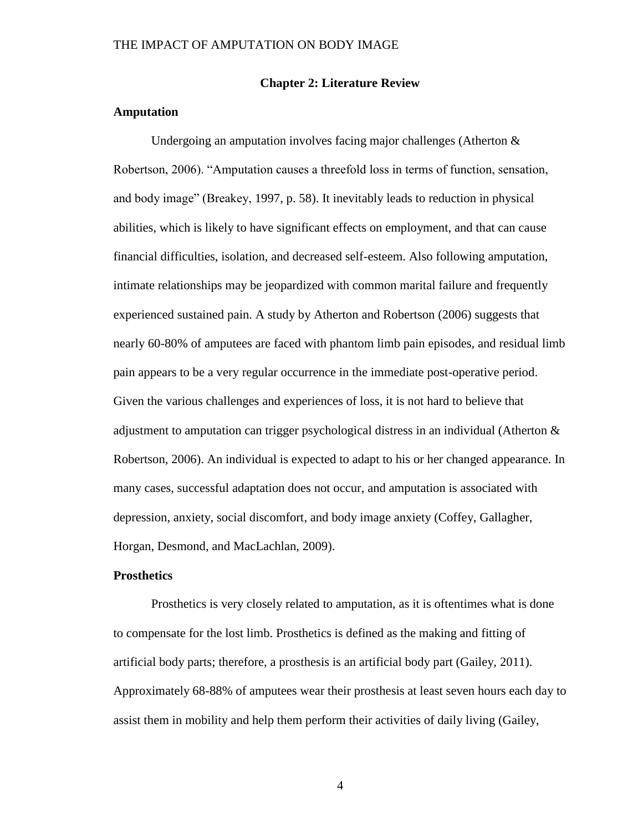#### **Chapter 2: Literature Review**

### **Amputation**

Undergoing an amputation involves facing major challenges (Atherton & Robertson, 2006). "Amputation causes a threefold loss in terms of function, sensation, and body image" (Breakey, 1997, p. 58). It inevitably leads to reduction in physical abilities, which is likely to have significant effects on employment, and that can cause financial difficulties, isolation, and decreased self-esteem. Also following amputation, intimate relationships may be jeopardized with common marital failure and frequently experienced sustained pain. A study by Atherton and Robertson (2006) suggests that nearly 60-80% of amputees are faced with phantom limb pain episodes, and residual limb pain appears to be a very regular occurrence in the immediate post-operative period. Given the various challenges and experiences of loss, it is not hard to believe that adjustment to amputation can trigger psychological distress in an individual (Atherton  $\&$ Robertson, 2006). An individual is expected to adapt to his or her changed appearance. In many cases, successful adaptation does not occur, and amputation is associated with depression, anxiety, social discomfort, and body image anxiety (Coffey, Gallagher, Horgan, Desmond, and MacLachlan, 2009).

#### **Prosthetics**

Prosthetics is very closely related to amputation, as it is oftentimes what is done to compensate for the lost limb. Prosthetics is defined as the making and fitting of artificial body parts; therefore, a prosthesis is an artificial body part (Gailey, 2011). Approximately 68-88% of amputees wear their prosthesis at least seven hours each day to assist them in mobility and help them perform their activities of daily living (Gailey,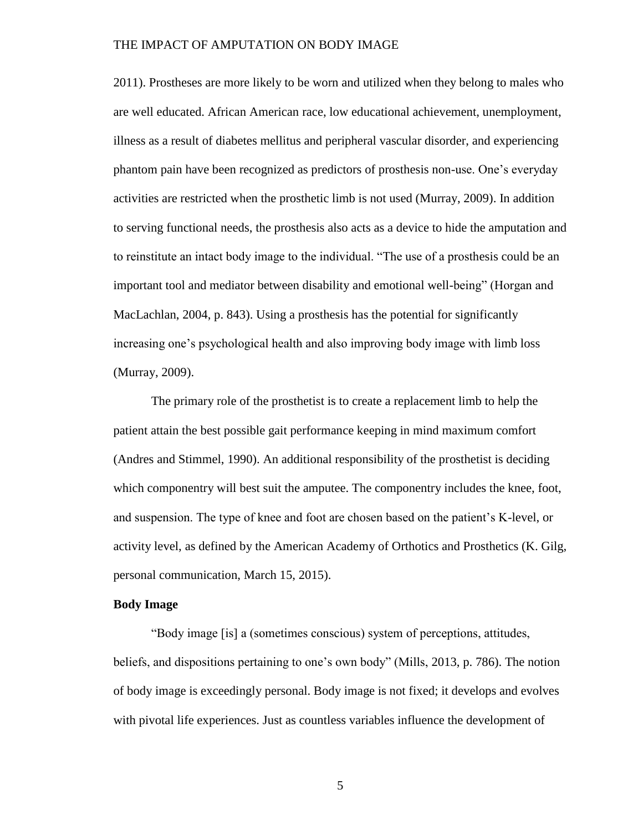2011). Prostheses are more likely to be worn and utilized when they belong to males who are well educated. African American race, low educational achievement, unemployment, illness as a result of diabetes mellitus and peripheral vascular disorder, and experiencing phantom pain have been recognized as predictors of prosthesis non-use. One's everyday activities are restricted when the prosthetic limb is not used (Murray, 2009). In addition to serving functional needs, the prosthesis also acts as a device to hide the amputation and to reinstitute an intact body image to the individual. "The use of a prosthesis could be an important tool and mediator between disability and emotional well-being" (Horgan and MacLachlan, 2004, p. 843). Using a prosthesis has the potential for significantly increasing one's psychological health and also improving body image with limb loss (Murray, 2009).

The primary role of the prosthetist is to create a replacement limb to help the patient attain the best possible gait performance keeping in mind maximum comfort (Andres and Stimmel, 1990). An additional responsibility of the prosthetist is deciding which componentry will best suit the amputee. The componentry includes the knee, foot, and suspension. The type of knee and foot are chosen based on the patient's K-level, or activity level, as defined by the American Academy of Orthotics and Prosthetics (K. Gilg, personal communication, March 15, 2015).

#### **Body Image**

"Body image [is] a (sometimes conscious) system of perceptions, attitudes, beliefs, and dispositions pertaining to one's own body" (Mills, 2013, p. 786). The notion of body image is exceedingly personal. Body image is not fixed; it develops and evolves with pivotal life experiences. Just as countless variables influence the development of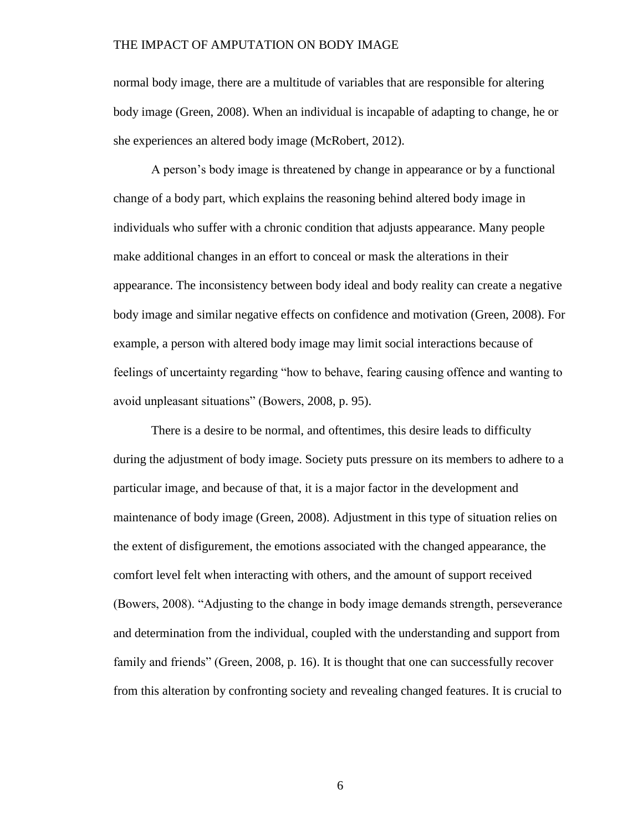normal body image, there are a multitude of variables that are responsible for altering body image (Green, 2008). When an individual is incapable of adapting to change, he or she experiences an altered body image (McRobert, 2012).

A person's body image is threatened by change in appearance or by a functional change of a body part, which explains the reasoning behind altered body image in individuals who suffer with a chronic condition that adjusts appearance. Many people make additional changes in an effort to conceal or mask the alterations in their appearance. The inconsistency between body ideal and body reality can create a negative body image and similar negative effects on confidence and motivation (Green, 2008). For example, a person with altered body image may limit social interactions because of feelings of uncertainty regarding "how to behave, fearing causing offence and wanting to avoid unpleasant situations" (Bowers, 2008, p. 95).

There is a desire to be normal, and oftentimes, this desire leads to difficulty during the adjustment of body image. Society puts pressure on its members to adhere to a particular image, and because of that, it is a major factor in the development and maintenance of body image (Green, 2008). Adjustment in this type of situation relies on the extent of disfigurement, the emotions associated with the changed appearance, the comfort level felt when interacting with others, and the amount of support received (Bowers, 2008). "Adjusting to the change in body image demands strength, perseverance and determination from the individual, coupled with the understanding and support from family and friends" (Green, 2008, p. 16). It is thought that one can successfully recover from this alteration by confronting society and revealing changed features. It is crucial to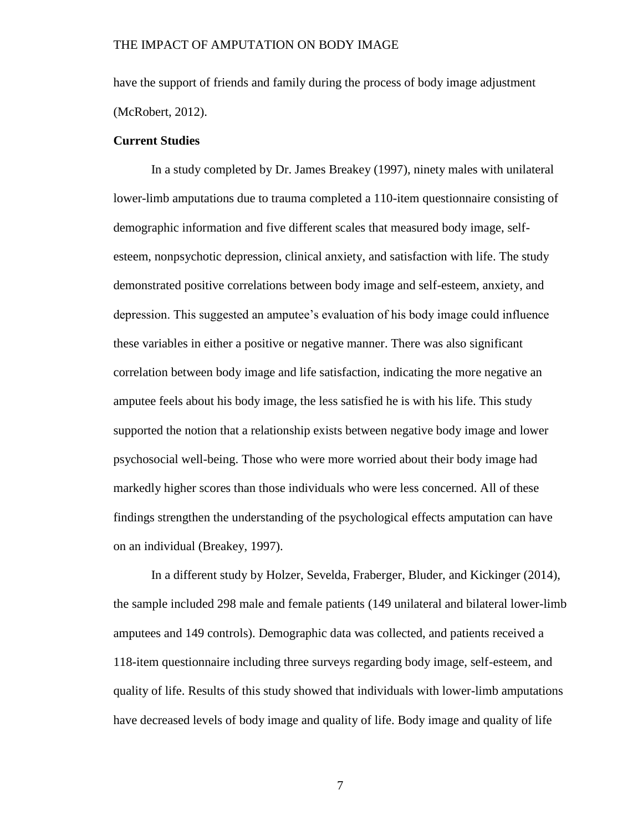have the support of friends and family during the process of body image adjustment (McRobert, 2012).

#### **Current Studies**

In a study completed by Dr. James Breakey (1997), ninety males with unilateral lower-limb amputations due to trauma completed a 110-item questionnaire consisting of demographic information and five different scales that measured body image, selfesteem, nonpsychotic depression, clinical anxiety, and satisfaction with life. The study demonstrated positive correlations between body image and self-esteem, anxiety, and depression. This suggested an amputee's evaluation of his body image could influence these variables in either a positive or negative manner. There was also significant correlation between body image and life satisfaction, indicating the more negative an amputee feels about his body image, the less satisfied he is with his life. This study supported the notion that a relationship exists between negative body image and lower psychosocial well-being. Those who were more worried about their body image had markedly higher scores than those individuals who were less concerned. All of these findings strengthen the understanding of the psychological effects amputation can have on an individual (Breakey, 1997).

In a different study by Holzer, Sevelda, Fraberger, Bluder, and Kickinger (2014), the sample included 298 male and female patients (149 unilateral and bilateral lower-limb amputees and 149 controls). Demographic data was collected, and patients received a 118-item questionnaire including three surveys regarding body image, self-esteem, and quality of life. Results of this study showed that individuals with lower-limb amputations have decreased levels of body image and quality of life. Body image and quality of life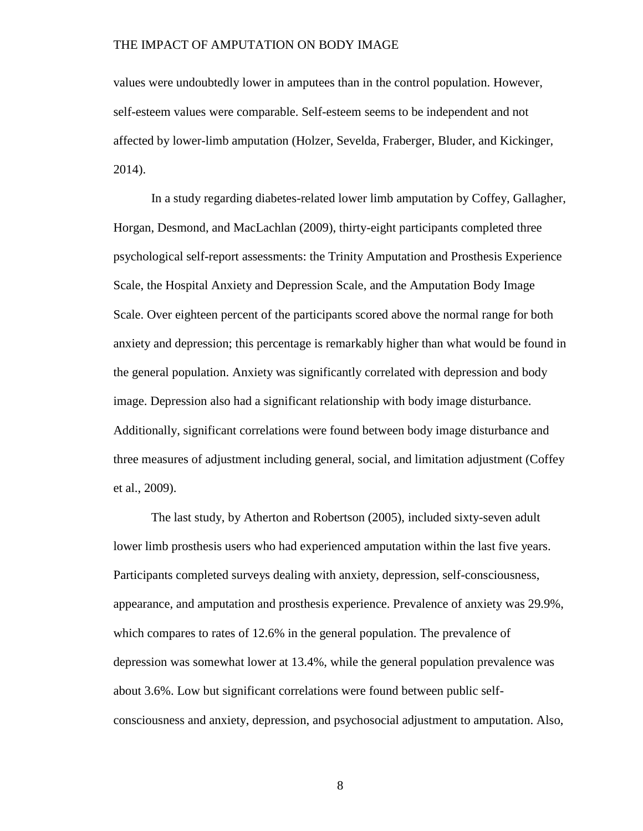values were undoubtedly lower in amputees than in the control population. However, self-esteem values were comparable. Self-esteem seems to be independent and not affected by lower-limb amputation (Holzer, Sevelda, Fraberger, Bluder, and Kickinger, 2014).

In a study regarding diabetes-related lower limb amputation by Coffey, Gallagher, Horgan, Desmond, and MacLachlan (2009), thirty-eight participants completed three psychological self-report assessments: the Trinity Amputation and Prosthesis Experience Scale, the Hospital Anxiety and Depression Scale, and the Amputation Body Image Scale. Over eighteen percent of the participants scored above the normal range for both anxiety and depression; this percentage is remarkably higher than what would be found in the general population. Anxiety was significantly correlated with depression and body image. Depression also had a significant relationship with body image disturbance. Additionally, significant correlations were found between body image disturbance and three measures of adjustment including general, social, and limitation adjustment (Coffey et al., 2009).

The last study, by Atherton and Robertson (2005), included sixty-seven adult lower limb prosthesis users who had experienced amputation within the last five years. Participants completed surveys dealing with anxiety, depression, self-consciousness, appearance, and amputation and prosthesis experience. Prevalence of anxiety was 29.9%, which compares to rates of 12.6% in the general population. The prevalence of depression was somewhat lower at 13.4%, while the general population prevalence was about 3.6%. Low but significant correlations were found between public selfconsciousness and anxiety, depression, and psychosocial adjustment to amputation. Also,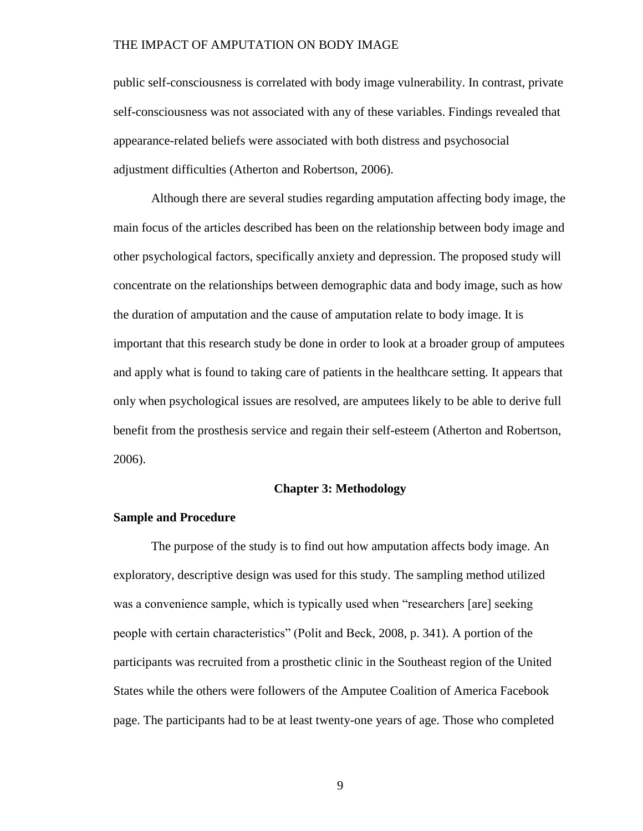public self-consciousness is correlated with body image vulnerability. In contrast, private self-consciousness was not associated with any of these variables. Findings revealed that appearance-related beliefs were associated with both distress and psychosocial adjustment difficulties (Atherton and Robertson, 2006).

Although there are several studies regarding amputation affecting body image, the main focus of the articles described has been on the relationship between body image and other psychological factors, specifically anxiety and depression. The proposed study will concentrate on the relationships between demographic data and body image, such as how the duration of amputation and the cause of amputation relate to body image. It is important that this research study be done in order to look at a broader group of amputees and apply what is found to taking care of patients in the healthcare setting. It appears that only when psychological issues are resolved, are amputees likely to be able to derive full benefit from the prosthesis service and regain their self-esteem (Atherton and Robertson, 2006).

### **Chapter 3: Methodology**

#### **Sample and Procedure**

The purpose of the study is to find out how amputation affects body image. An exploratory, descriptive design was used for this study. The sampling method utilized was a convenience sample, which is typically used when "researchers [are] seeking people with certain characteristics" (Polit and Beck, 2008, p. 341). A portion of the participants was recruited from a prosthetic clinic in the Southeast region of the United States while the others were followers of the Amputee Coalition of America Facebook page. The participants had to be at least twenty-one years of age. Those who completed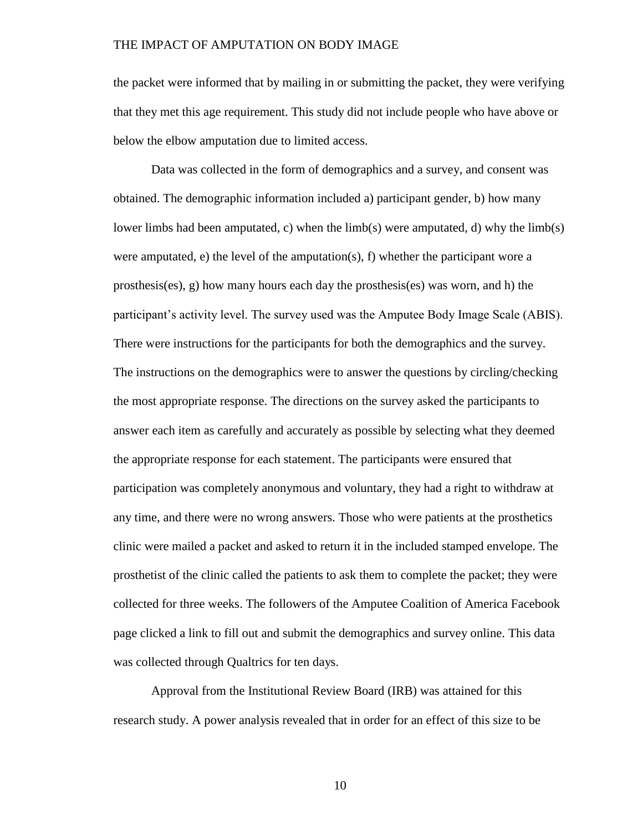the packet were informed that by mailing in or submitting the packet, they were verifying that they met this age requirement. This study did not include people who have above or below the elbow amputation due to limited access.

Data was collected in the form of demographics and a survey, and consent was obtained. The demographic information included a) participant gender, b) how many lower limbs had been amputated, c) when the limb(s) were amputated, d) why the limb(s) were amputated, e) the level of the amputation(s), f) whether the participant wore a prosthesis(es), g) how many hours each day the prosthesis(es) was worn, and h) the participant's activity level. The survey used was the Amputee Body Image Scale (ABIS). There were instructions for the participants for both the demographics and the survey. The instructions on the demographics were to answer the questions by circling/checking the most appropriate response. The directions on the survey asked the participants to answer each item as carefully and accurately as possible by selecting what they deemed the appropriate response for each statement. The participants were ensured that participation was completely anonymous and voluntary, they had a right to withdraw at any time, and there were no wrong answers. Those who were patients at the prosthetics clinic were mailed a packet and asked to return it in the included stamped envelope. The prosthetist of the clinic called the patients to ask them to complete the packet; they were collected for three weeks. The followers of the Amputee Coalition of America Facebook page clicked a link to fill out and submit the demographics and survey online. This data was collected through Qualtrics for ten days.

Approval from the Institutional Review Board (IRB) was attained for this research study. A power analysis revealed that in order for an effect of this size to be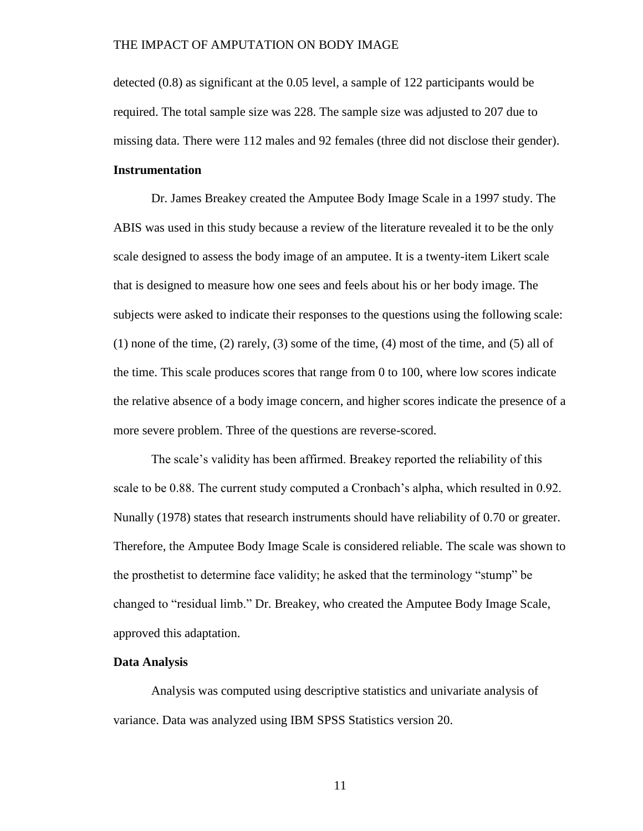detected (0.8) as significant at the 0.05 level, a sample of 122 participants would be required. The total sample size was 228. The sample size was adjusted to 207 due to missing data. There were 112 males and 92 females (three did not disclose their gender).

## **Instrumentation**

Dr. James Breakey created the Amputee Body Image Scale in a 1997 study. The ABIS was used in this study because a review of the literature revealed it to be the only scale designed to assess the body image of an amputee. It is a twenty-item Likert scale that is designed to measure how one sees and feels about his or her body image. The subjects were asked to indicate their responses to the questions using the following scale: (1) none of the time, (2) rarely, (3) some of the time, (4) most of the time, and (5) all of the time. This scale produces scores that range from 0 to 100, where low scores indicate the relative absence of a body image concern, and higher scores indicate the presence of a more severe problem. Three of the questions are reverse-scored.

The scale's validity has been affirmed. Breakey reported the reliability of this scale to be 0.88. The current study computed a Cronbach's alpha, which resulted in 0.92. Nunally (1978) states that research instruments should have reliability of 0.70 or greater. Therefore, the Amputee Body Image Scale is considered reliable. The scale was shown to the prosthetist to determine face validity; he asked that the terminology "stump" be changed to "residual limb." Dr. Breakey, who created the Amputee Body Image Scale, approved this adaptation.

#### **Data Analysis**

Analysis was computed using descriptive statistics and univariate analysis of variance. Data was analyzed using IBM SPSS Statistics version 20.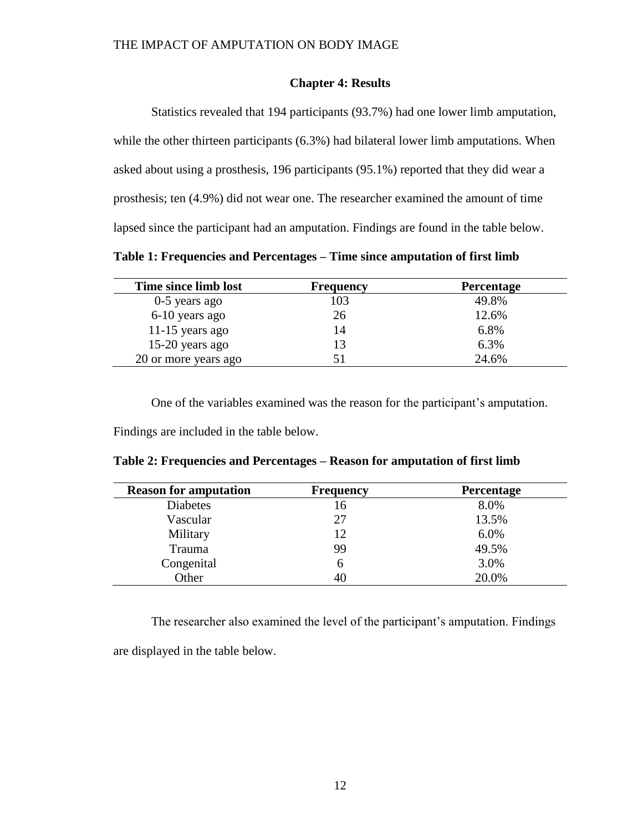### **Chapter 4: Results**

Statistics revealed that 194 participants (93.7%) had one lower limb amputation, while the other thirteen participants (6.3%) had bilateral lower limb amputations. When asked about using a prosthesis, 196 participants (95.1%) reported that they did wear a prosthesis; ten (4.9%) did not wear one. The researcher examined the amount of time lapsed since the participant had an amputation. Findings are found in the table below.

**Table 1: Frequencies and Percentages – Time since amputation of first limb**

| Time since limb lost | Frequency | <b>Percentage</b> |
|----------------------|-----------|-------------------|
| $0-5$ years ago      | 103       | 49.8%             |
| 6-10 years ago       | 26        | 12.6%             |
| 11-15 years ago      | 14        | 6.8%              |
| $15-20$ years ago    |           | 6.3%              |
| 20 or more years ago |           | 24.6%             |

One of the variables examined was the reason for the participant's amputation.

Findings are included in the table below.

| <b>Reason for amputation</b> | <b>Frequency</b> | <b>Percentage</b> |
|------------------------------|------------------|-------------------|
| <b>Diabetes</b>              | 16               | 8.0%              |
| Vascular                     | 27               | 13.5%             |
| Military                     | 12               | 6.0%              |
| Trauma                       | 99               | 49.5%             |
| Congenital                   | 6                | 3.0%              |
| Other                        | 40               | 20.0%             |

**Table 2: Frequencies and Percentages – Reason for amputation of first limb**

The researcher also examined the level of the participant's amputation. Findings

are displayed in the table below.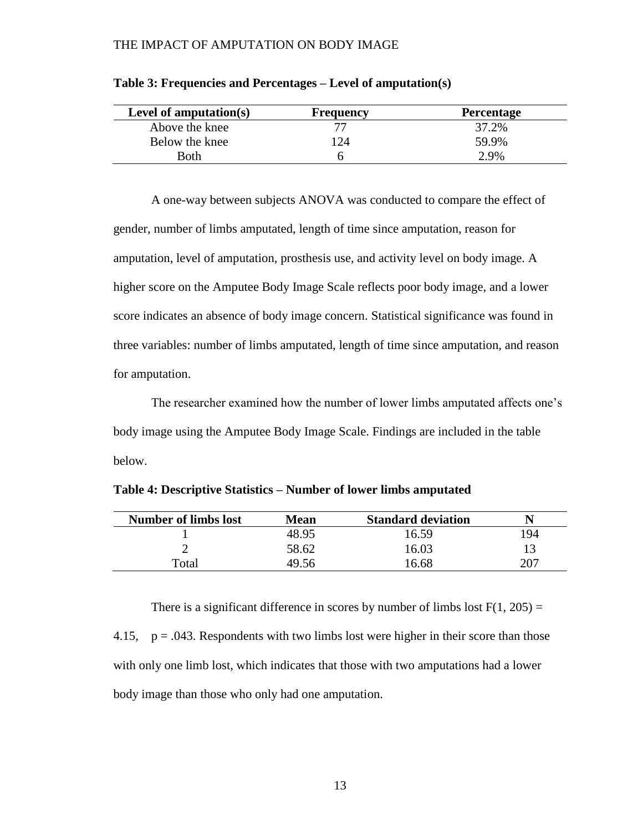| Level of amputation $(s)$ | Frequency | <b>Percentage</b> |
|---------------------------|-----------|-------------------|
| Above the knee            |           | 37.2%             |
| Below the knee            | 24        | 59.9%             |
| Both                      |           | $2.9\%$           |

|  |  |  |  |  | Table 3: Frequencies and Percentages – Level of amputation(s) |  |
|--|--|--|--|--|---------------------------------------------------------------|--|
|  |  |  |  |  |                                                               |  |

A one-way between subjects ANOVA was conducted to compare the effect of gender, number of limbs amputated, length of time since amputation, reason for amputation, level of amputation, prosthesis use, and activity level on body image. A higher score on the Amputee Body Image Scale reflects poor body image, and a lower score indicates an absence of body image concern. Statistical significance was found in three variables: number of limbs amputated, length of time since amputation, and reason for amputation.

The researcher examined how the number of lower limbs amputated affects one's body image using the Amputee Body Image Scale. Findings are included in the table below.

| <b>Number of limbs lost</b> | <b>Mean</b> | <b>Standard deviation</b> |     |
|-----------------------------|-------------|---------------------------|-----|
|                             | 48.95       | 16.59                     | 194 |
|                             | 58.62       | 16.03                     |     |
| Total                       | 49.56       | 16.68                     | 207 |

**Table 4: Descriptive Statistics – Number of lower limbs amputated** 

There is a significant difference in scores by number of limbs lost  $F(1, 205) =$ 4.15,  $p = .043$ . Respondents with two limbs lost were higher in their score than those with only one limb lost, which indicates that those with two amputations had a lower body image than those who only had one amputation.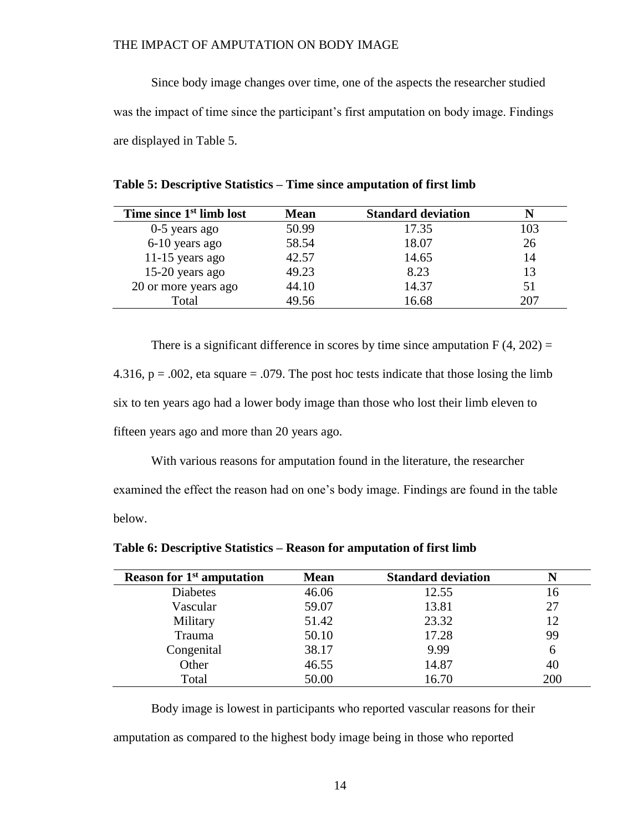Since body image changes over time, one of the aspects the researcher studied was the impact of time since the participant's first amputation on body image. Findings are displayed in Table 5.

| Time since 1 <sup>st</sup> limb lost | <b>Mean</b> | <b>Standard deviation</b> |     |
|--------------------------------------|-------------|---------------------------|-----|
| 0-5 years ago                        | 50.99       | 17.35                     | 103 |
| 6-10 years ago                       | 58.54       | 18.07                     | 26  |
| 11-15 years ago                      | 42.57       | 14.65                     | 14  |
| $15-20$ years ago                    | 49.23       | 8.23                      | 13  |
| 20 or more years ago                 | 44.10       | 14.37                     | 51  |
| Total                                | 49.56       | 16.68                     | 207 |

There is a significant difference in scores by time since amputation  $F(4, 202) =$ 4.316,  $p = .002$ , eta square = .079. The post hoc tests indicate that those losing the limb six to ten years ago had a lower body image than those who lost their limb eleven to fifteen years ago and more than 20 years ago.

With various reasons for amputation found in the literature, the researcher examined the effect the reason had on one's body image. Findings are found in the table below.

| <b>Reason for 1st amputation</b> | <b>Mean</b> | <b>Standard deviation</b> |     |
|----------------------------------|-------------|---------------------------|-----|
| <b>Diabetes</b>                  | 46.06       | 12.55                     | 16  |
| Vascular                         | 59.07       | 13.81                     | 27  |
| Military                         | 51.42       | 23.32                     | 12  |
| Trauma                           | 50.10       | 17.28                     | 99  |
| Congenital                       | 38.17       | 9.99                      | 6   |
| Other                            | 46.55       | 14.87                     | 40  |
| Total                            | 50.00       | 16.70                     | 200 |

**Table 6: Descriptive Statistics – Reason for amputation of first limb**

Body image is lowest in participants who reported vascular reasons for their amputation as compared to the highest body image being in those who reported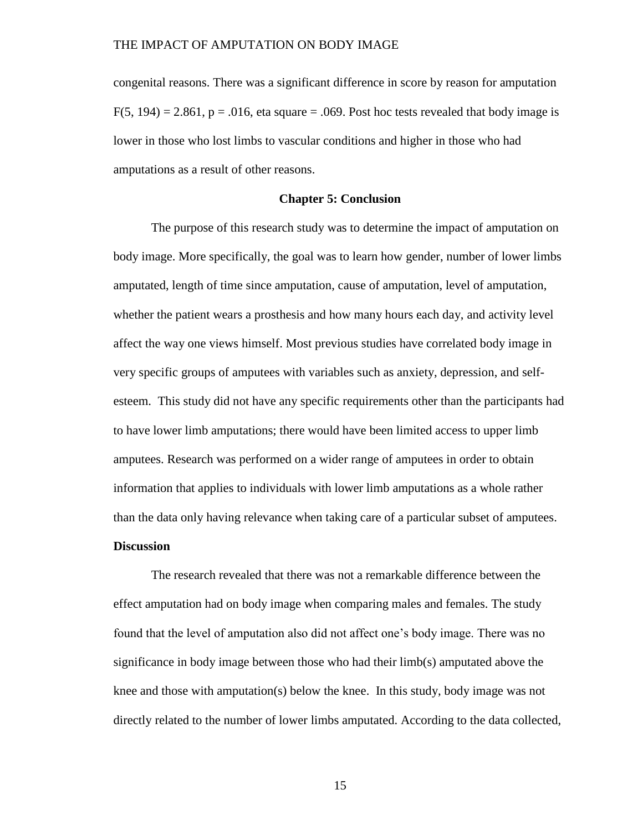congenital reasons. There was a significant difference in score by reason for amputation  $F(5, 194) = 2.861$ ,  $p = .016$ , eta square = .069. Post hoc tests revealed that body image is lower in those who lost limbs to vascular conditions and higher in those who had amputations as a result of other reasons.

#### **Chapter 5: Conclusion**

The purpose of this research study was to determine the impact of amputation on body image. More specifically, the goal was to learn how gender, number of lower limbs amputated, length of time since amputation, cause of amputation, level of amputation, whether the patient wears a prosthesis and how many hours each day, and activity level affect the way one views himself. Most previous studies have correlated body image in very specific groups of amputees with variables such as anxiety, depression, and selfesteem. This study did not have any specific requirements other than the participants had to have lower limb amputations; there would have been limited access to upper limb amputees. Research was performed on a wider range of amputees in order to obtain information that applies to individuals with lower limb amputations as a whole rather than the data only having relevance when taking care of a particular subset of amputees.

#### **Discussion**

The research revealed that there was not a remarkable difference between the effect amputation had on body image when comparing males and females. The study found that the level of amputation also did not affect one's body image. There was no significance in body image between those who had their limb(s) amputated above the knee and those with amputation(s) below the knee. In this study, body image was not directly related to the number of lower limbs amputated. According to the data collected,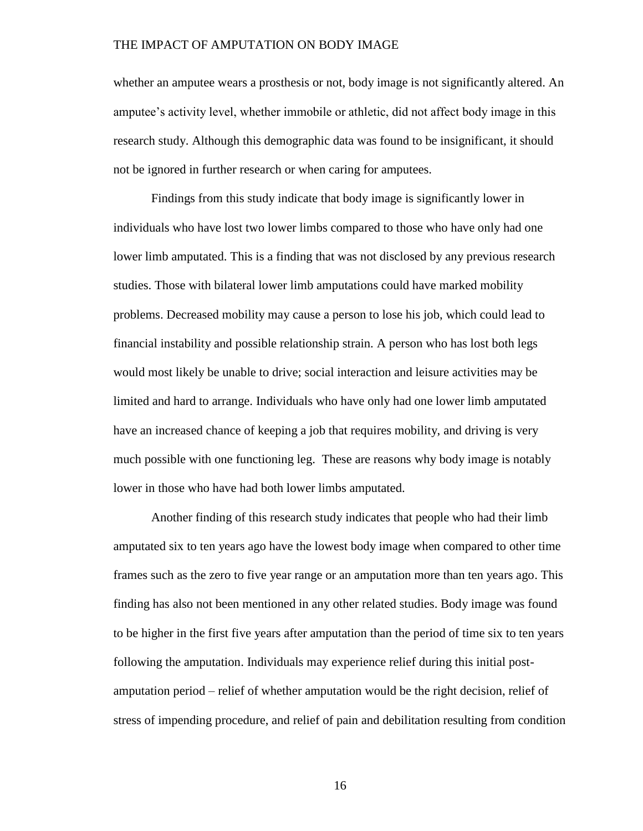whether an amputee wears a prosthesis or not, body image is not significantly altered. An amputee's activity level, whether immobile or athletic, did not affect body image in this research study. Although this demographic data was found to be insignificant, it should not be ignored in further research or when caring for amputees.

Findings from this study indicate that body image is significantly lower in individuals who have lost two lower limbs compared to those who have only had one lower limb amputated. This is a finding that was not disclosed by any previous research studies. Those with bilateral lower limb amputations could have marked mobility problems. Decreased mobility may cause a person to lose his job, which could lead to financial instability and possible relationship strain. A person who has lost both legs would most likely be unable to drive; social interaction and leisure activities may be limited and hard to arrange. Individuals who have only had one lower limb amputated have an increased chance of keeping a job that requires mobility, and driving is very much possible with one functioning leg. These are reasons why body image is notably lower in those who have had both lower limbs amputated.

Another finding of this research study indicates that people who had their limb amputated six to ten years ago have the lowest body image when compared to other time frames such as the zero to five year range or an amputation more than ten years ago. This finding has also not been mentioned in any other related studies. Body image was found to be higher in the first five years after amputation than the period of time six to ten years following the amputation. Individuals may experience relief during this initial postamputation period – relief of whether amputation would be the right decision, relief of stress of impending procedure, and relief of pain and debilitation resulting from condition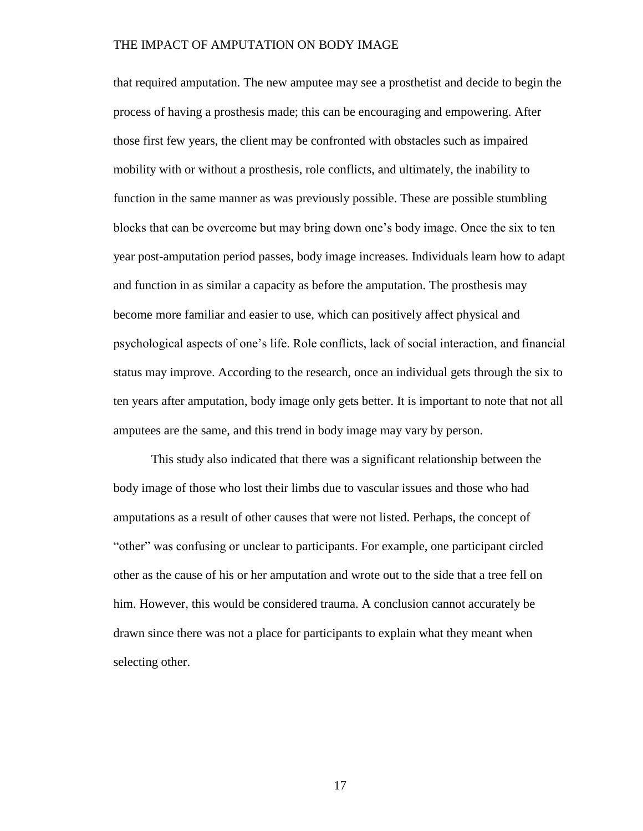that required amputation. The new amputee may see a prosthetist and decide to begin the process of having a prosthesis made; this can be encouraging and empowering. After those first few years, the client may be confronted with obstacles such as impaired mobility with or without a prosthesis, role conflicts, and ultimately, the inability to function in the same manner as was previously possible. These are possible stumbling blocks that can be overcome but may bring down one's body image. Once the six to ten year post-amputation period passes, body image increases. Individuals learn how to adapt and function in as similar a capacity as before the amputation. The prosthesis may become more familiar and easier to use, which can positively affect physical and psychological aspects of one's life. Role conflicts, lack of social interaction, and financial status may improve. According to the research, once an individual gets through the six to ten years after amputation, body image only gets better. It is important to note that not all amputees are the same, and this trend in body image may vary by person.

This study also indicated that there was a significant relationship between the body image of those who lost their limbs due to vascular issues and those who had amputations as a result of other causes that were not listed. Perhaps, the concept of "other" was confusing or unclear to participants. For example, one participant circled other as the cause of his or her amputation and wrote out to the side that a tree fell on him. However, this would be considered trauma. A conclusion cannot accurately be drawn since there was not a place for participants to explain what they meant when selecting other.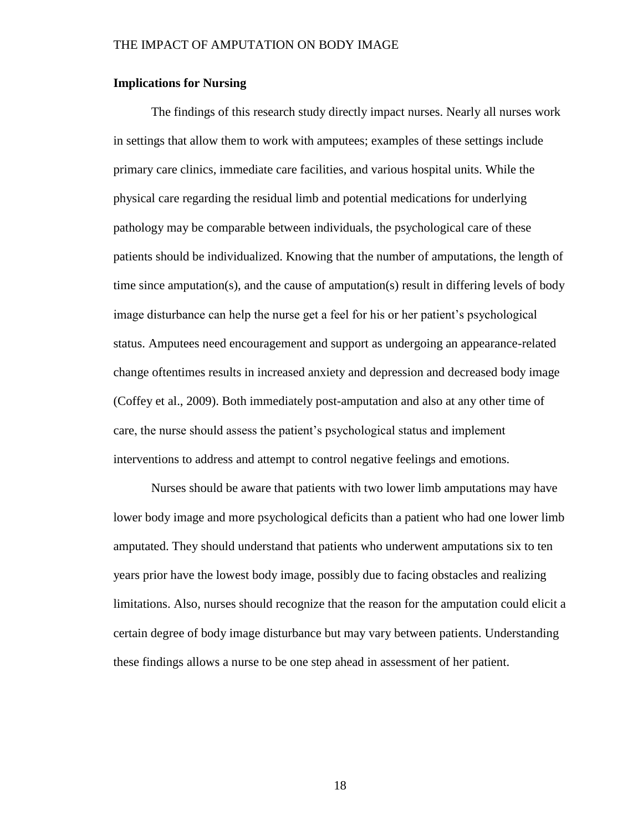### **Implications for Nursing**

The findings of this research study directly impact nurses. Nearly all nurses work in settings that allow them to work with amputees; examples of these settings include primary care clinics, immediate care facilities, and various hospital units. While the physical care regarding the residual limb and potential medications for underlying pathology may be comparable between individuals, the psychological care of these patients should be individualized. Knowing that the number of amputations, the length of time since amputation(s), and the cause of amputation(s) result in differing levels of body image disturbance can help the nurse get a feel for his or her patient's psychological status. Amputees need encouragement and support as undergoing an appearance-related change oftentimes results in increased anxiety and depression and decreased body image (Coffey et al., 2009). Both immediately post-amputation and also at any other time of care, the nurse should assess the patient's psychological status and implement interventions to address and attempt to control negative feelings and emotions.

Nurses should be aware that patients with two lower limb amputations may have lower body image and more psychological deficits than a patient who had one lower limb amputated. They should understand that patients who underwent amputations six to ten years prior have the lowest body image, possibly due to facing obstacles and realizing limitations. Also, nurses should recognize that the reason for the amputation could elicit a certain degree of body image disturbance but may vary between patients. Understanding these findings allows a nurse to be one step ahead in assessment of her patient.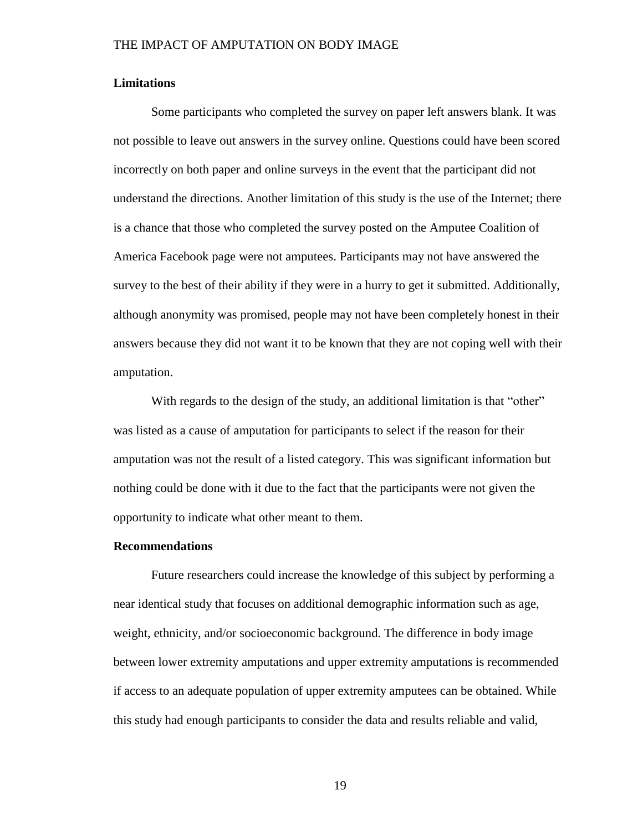#### **Limitations**

Some participants who completed the survey on paper left answers blank. It was not possible to leave out answers in the survey online. Questions could have been scored incorrectly on both paper and online surveys in the event that the participant did not understand the directions. Another limitation of this study is the use of the Internet; there is a chance that those who completed the survey posted on the Amputee Coalition of America Facebook page were not amputees. Participants may not have answered the survey to the best of their ability if they were in a hurry to get it submitted. Additionally, although anonymity was promised, people may not have been completely honest in their answers because they did not want it to be known that they are not coping well with their amputation.

With regards to the design of the study, an additional limitation is that "other" was listed as a cause of amputation for participants to select if the reason for their amputation was not the result of a listed category. This was significant information but nothing could be done with it due to the fact that the participants were not given the opportunity to indicate what other meant to them.

#### **Recommendations**

Future researchers could increase the knowledge of this subject by performing a near identical study that focuses on additional demographic information such as age, weight, ethnicity, and/or socioeconomic background. The difference in body image between lower extremity amputations and upper extremity amputations is recommended if access to an adequate population of upper extremity amputees can be obtained. While this study had enough participants to consider the data and results reliable and valid,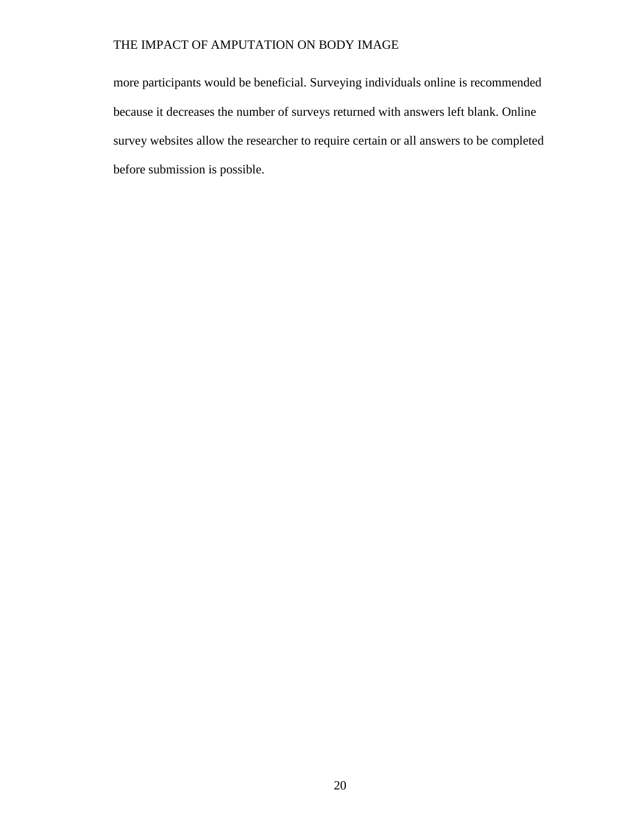more participants would be beneficial. Surveying individuals online is recommended because it decreases the number of surveys returned with answers left blank. Online survey websites allow the researcher to require certain or all answers to be completed before submission is possible.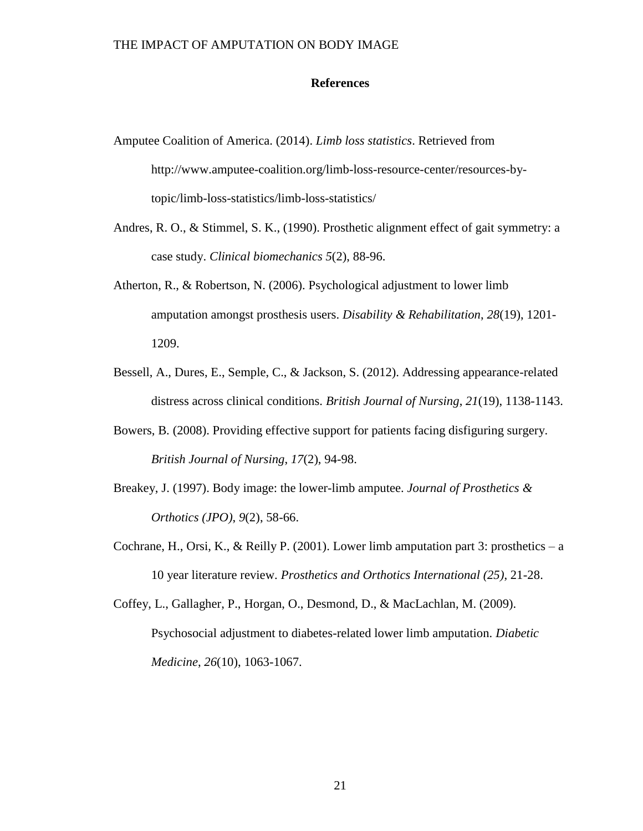#### **References**

- Amputee Coalition of America. (2014). *Limb loss statistics*. Retrieved from http://www.amputee-coalition.org/limb-loss-resource-center/resources-bytopic/limb-loss-statistics/limb-loss-statistics/
- Andres, R. O., & Stimmel, S. K., (1990). Prosthetic alignment effect of gait symmetry: a case study. *Clinical biomechanics 5*(2), 88-96.
- Atherton, R., & Robertson, N. (2006). Psychological adjustment to lower limb amputation amongst prosthesis users. *Disability & Rehabilitation*, *28*(19), 1201- 1209.
- Bessell, A., Dures, E., Semple, C., & Jackson, S. (2012). Addressing appearance-related distress across clinical conditions. *British Journal of Nursing*, *21*(19), 1138-1143.
- Bowers, B. (2008). Providing effective support for patients facing disfiguring surgery. *British Journal of Nursing*, *17*(2), 94-98.
- Breakey, J. (1997). Body image: the lower-limb amputee. *Journal of Prosthetics & Orthotics (JPO)*, *9*(2), 58-66.
- Cochrane, H., Orsi, K., & Reilly P. (2001). Lower limb amputation part 3: prosthetics a 10 year literature review. *Prosthetics and Orthotics International (25)*, 21-28.

Coffey, L., Gallagher, P., Horgan, O., Desmond, D., & MacLachlan, M. (2009). Psychosocial adjustment to diabetes-related lower limb amputation. *Diabetic Medicine*, *26*(10), 1063-1067.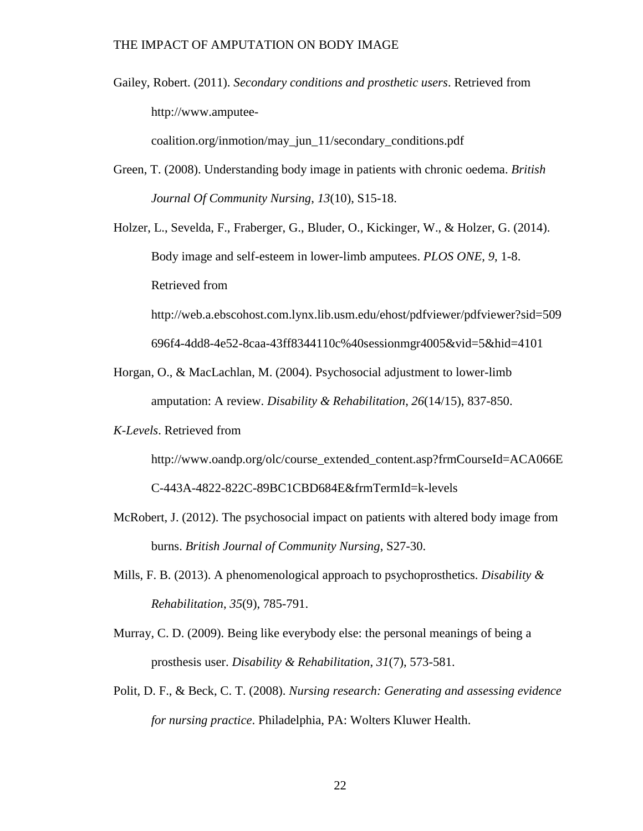Gailey, Robert. (2011). *Secondary conditions and prosthetic users*. Retrieved from http://www.amputee-

coalition.org/inmotion/may\_jun\_11/secondary\_conditions.pdf

Green, T. (2008). Understanding body image in patients with chronic oedema. *British Journal Of Community Nursing*, *13*(10), S15-18.

Holzer, L., Sevelda, F., Fraberger, G., Bluder, O., Kickinger, W., & Holzer, G. (2014). Body image and self-esteem in lower-limb amputees. *PLOS ONE, 9*, 1-8. Retrieved from http://web.a.ebscohost.com.lynx.lib.usm.edu/ehost/pdfviewer/pdfviewer?sid=509

696f4-4dd8-4e52-8caa-43ff8344110c%40sessionmgr4005&vid=5&hid=4101

- Horgan, O., & MacLachlan, M. (2004). Psychosocial adjustment to lower-limb amputation: A review. *Disability & Rehabilitation*, *26*(14/15), 837-850.
- *K-Levels*. Retrieved from

http://www.oandp.org/olc/course\_extended\_content.asp?frmCourseId=ACA066E

C-443A-4822-822C-89BC1CBD684E&frmTermId=k-levels

- McRobert, J. (2012). The psychosocial impact on patients with altered body image from burns. *British Journal of Community Nursing*, S27-30.
- Mills, F. B. (2013). A phenomenological approach to psychoprosthetics. *Disability & Rehabilitation*, *35*(9), 785-791.
- Murray, C. D. (2009). Being like everybody else: the personal meanings of being a prosthesis user. *Disability & Rehabilitation*, *31*(7), 573-581.
- Polit, D. F., & Beck, C. T. (2008). *Nursing research: Generating and assessing evidence for nursing practice*. Philadelphia, PA: Wolters Kluwer Health.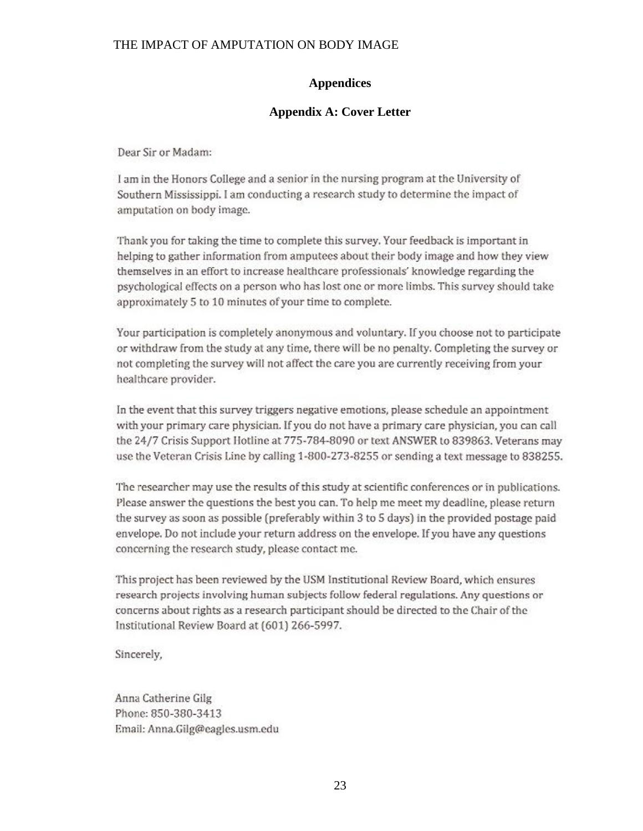## **Appendices**

## **Appendix A: Cover Letter**

Dear Sir or Madam:

I am in the Honors College and a senior in the nursing program at the University of Southern Mississippi. I am conducting a research study to determine the impact of amputation on body image.

Thank you for taking the time to complete this survey. Your feedback is important in helping to gather information from amputees about their body image and how they view themselves in an effort to increase healthcare professionals' knowledge regarding the psychological effects on a person who has lost one or more limbs. This survey should take approximately 5 to 10 minutes of your time to complete.

Your participation is completely anonymous and voluntary. If you choose not to participate or withdraw from the study at any time, there will be no penalty. Completing the survey or not completing the survey will not affect the care you are currently receiving from your healthcare provider.

In the event that this survey triggers negative emotions, please schedule an appointment with your primary care physician. If you do not have a primary care physician, you can call the 24/7 Crisis Support Hotline at 775-784-8090 or text ANSWER to 839863. Veterans may use the Veteran Crisis Line by calling 1-800-273-8255 or sending a text message to 838255.

The researcher may use the results of this study at scientific conferences or in publications. Please answer the questions the best you can. To help me meet my deadline, please return the survey as soon as possible (preferably within 3 to 5 days) in the provided postage paid envelope. Do not include your return address on the envelope. If you have any questions concerning the research study, please contact me.

This project has been reviewed by the USM Institutional Review Board, which ensures research projects involving human subjects follow federal regulations. Any questions or concerns about rights as a research participant should be directed to the Chair of the Institutional Review Board at (601) 266-5997.

Sincerely,

Anna Catherine Gilg Phone: 850-380-3413 Email: Anna.Gilg@eagles.usm.edu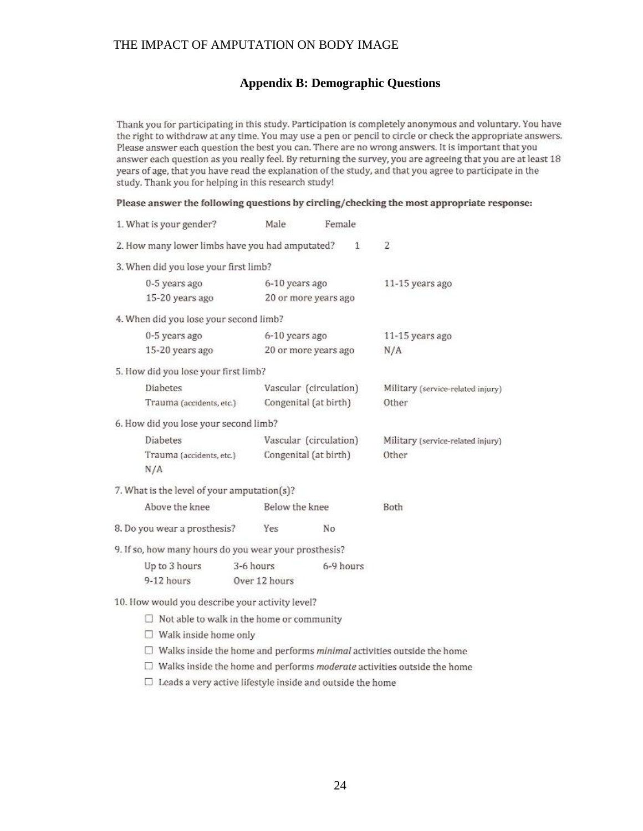## **Appendix B: Demographic Questions**

Thank you for participating in this study. Participation is completely anonymous and voluntary. You have the right to withdraw at any time. You may use a pen or pencil to circle or check the appropriate answers. Please answer each question the best you can. There are no wrong answers. It is important that you answer each question as you really feel. By returning the survey, you are agreeing that you are at least 18 years of age, that you have read the explanation of the study, and that you agree to participate in the study. Thank you for helping in this research study!

Please answer the following questions by circling/checking the most appropriate response:

| 1. What is your gender?                               |               | Male                   | Female                 |                                                                                      |
|-------------------------------------------------------|---------------|------------------------|------------------------|--------------------------------------------------------------------------------------|
| 2. How many lower limbs have you had amputated?       |               |                        | $\mathbf{1}$           | $\overline{2}$                                                                       |
| 3. When did you lose your first limb?                 |               |                        |                        |                                                                                      |
| 0-5 years ago                                         |               | 6-10 years ago         |                        | 11-15 years ago                                                                      |
| 15-20 years ago                                       |               |                        | 20 or more years ago   |                                                                                      |
| 4. When did you lose your second limb?                |               |                        |                        |                                                                                      |
| 0-5 years ago                                         |               | 6-10 years ago         |                        | 11-15 years ago                                                                      |
| 15-20 years ago                                       |               |                        | 20 or more years ago   | N/A                                                                                  |
| 5. How did you lose your first limb?                  |               |                        |                        |                                                                                      |
| Diabetes                                              |               |                        | Vascular (circulation) | Military (service-related injury)                                                    |
| Trauma (accidents, etc.)                              |               |                        | Congenital (at birth)  | Other                                                                                |
| 6. How did you lose your second limb?                 |               |                        |                        |                                                                                      |
| Diabetes                                              |               | Vascular (circulation) |                        | Military (service-related injury)                                                    |
| Trauma (accidents, etc.)                              |               |                        | Congenital (at birth)  | Other                                                                                |
| N/A                                                   |               |                        |                        |                                                                                      |
| 7. What is the level of your amputation(s)?           |               |                        |                        |                                                                                      |
| Above the knee                                        |               | Below the knee         |                        | Both                                                                                 |
| 8. Do you wear a prosthesis?                          |               | Yes                    | No                     |                                                                                      |
| 9. If so, how many hours do you wear your prosthesis? |               |                        |                        |                                                                                      |
| Up to 3 hours                                         |               | 3-6 hours              | 6-9 hours              |                                                                                      |
| 9-12 hours                                            | Over 12 hours |                        |                        |                                                                                      |
| 10. How would you describe your activity level?       |               |                        |                        |                                                                                      |
| $\Box$ Not able to walk in the home or community      |               |                        |                        |                                                                                      |
| $\Box$ Walk inside home only                          |               |                        |                        |                                                                                      |
|                                                       |               |                        |                        | $\Box$ Walks inside the home and performs <i>minimal</i> activities outside the home |
| n                                                     |               |                        |                        | Walks inside the home and performs moderate activities outside the home              |

 $\Box$  Leads a very active lifestyle inside and outside the home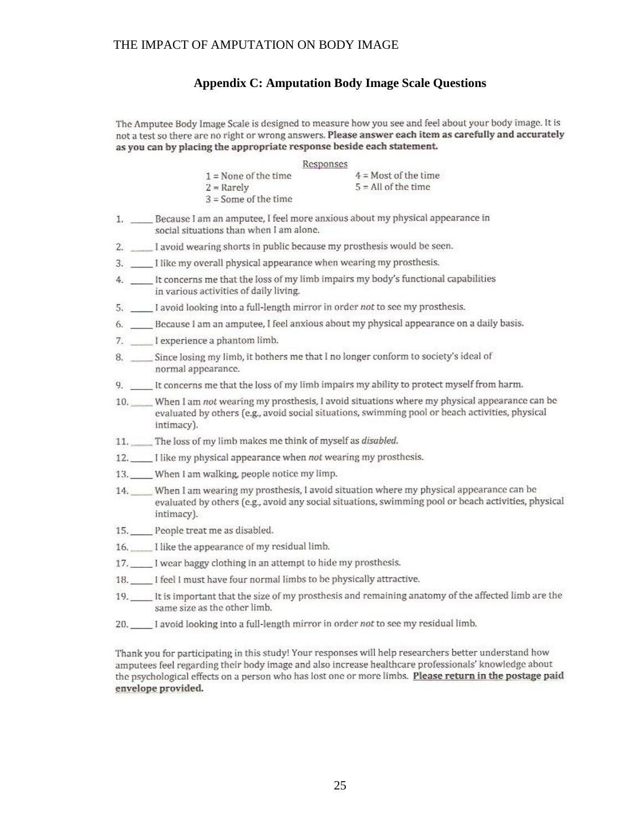### **Appendix C: Amputation Body Image Scale Questions**

The Amputee Body Image Scale is designed to measure how you see and feel about your body image. It is not a test so there are no right or wrong answers. Please answer each item as carefully and accurately as you can by placing the appropriate response beside each statement.

|                        | Responses              |
|------------------------|------------------------|
| $1 =$ None of the time | $4 =$ Most of the time |
| $2 =$ Rarely           | $5 =$ All of the time  |
| $3 =$ Some of the time |                        |

- 1. \_\_\_\_\_ Because I am an amputee, I feel more anxious about my physical appearance in social situations than when I am alone.
- 2. \_\_\_\_ I avoid wearing shorts in public because my prosthesis would be seen.
- $3.$ I like my overall physical appearance when wearing my prosthesis.
- 4. \_\_\_\_\_\_ It concerns me that the loss of my limb impairs my body's functional capabilities in various activities of daily living.
- 5. I avoid looking into a full-length mirror in order not to see my prosthesis.
- 6. \_\_\_\_\_Because I am an amputee, I feel anxious about my physical appearance on a daily basis.
- 7. I experience a phantom limb.
- 8. \_\_\_\_ Since losing my limb, it bothers me that I no longer conform to society's ideal of normal appearance.
- 9. \_\_\_\_\_ It concerns me that the loss of my limb impairs my ability to protect myself from harm.
- 10. When I am not wearing my prosthesis, I avoid situations where my physical appearance can be evaluated by others (e.g., avoid social situations, swimming pool or beach activities, physical intimacy).
- 11. The loss of my limb makes me think of myself as disabled.
- 12. I like my physical appearance when not wearing my prosthesis.
- 13. When I am walking, people notice my limp.
- 14. When I am wearing my prosthesis, I avoid situation where my physical appearance can be evaluated by others (e.g., avoid any social situations, swimming pool or beach activities, physical intimacy).
- 15. People treat me as disabled.
- 16. I like the appearance of my residual limb.
- 17. I wear baggy clothing in an attempt to hide my prosthesis.
- 18. I feel I must have four normal limbs to be physically attractive.
- 19. \_\_\_\_\_ It is important that the size of my prosthesis and remaining anatomy of the affected limb are the same size as the other limb.
- 20. 1 avoid looking into a full-length mirror in order not to see my residual limb.

Thank you for participating in this study! Your responses will help researchers better understand how amputees feel regarding their body image and also increase healthcare professionals' knowledge about the psychological effects on a person who has lost one or more limbs. Please return in the postage paid envelope provided.